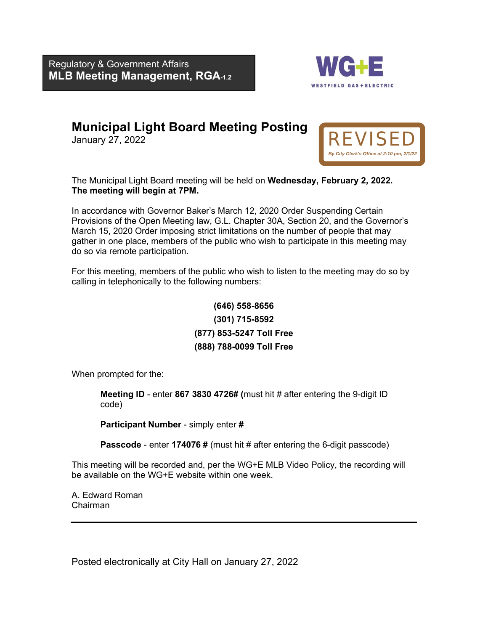**MLB Meeting Management, RGA-1.2**  Regulatory & Government Affairs



### **Municipal Light Board Meeting Posting**

January 27, 2022



The Municipal Light Board meeting will be held on **Wednesday, February 2, 2022. The meeting will begin at 7PM.** 

In accordance with Governor Baker's March 12, 2020 Order Suspending Certain Provisions of the Open Meeting law, G.L. Chapter 30A, Section 20, and the Governor's March 15, 2020 Order imposing strict limitations on the number of people that may gather in one place, members of the public who wish to participate in this meeting may do so via remote participation.

For this meeting, members of the public who wish to listen to the meeting may do so by calling in telephonically to the following numbers:

> **[\(646\)](tel:+1.857.444.6500,,916580061) 558-8656 (301) 715-8592 (877) 853-5247 Toll Free (888) 788-0099 Toll Free**

When prompted for the:

**Meeting ID** - enter **867 3830 4726# (**must hit # after entering the 9-digit ID code)

**Participant Number** - simply enter **#** 

**Passcode** - enter 174076 # (must hit # after entering the 6-digit passcode)

This meeting will be recorded and, per the WG+E MLB Video Policy, the recording will be available on the WG+E website within one week.

A. Edward Roman Chairman

Posted electronically at City Hall on January 27, 2022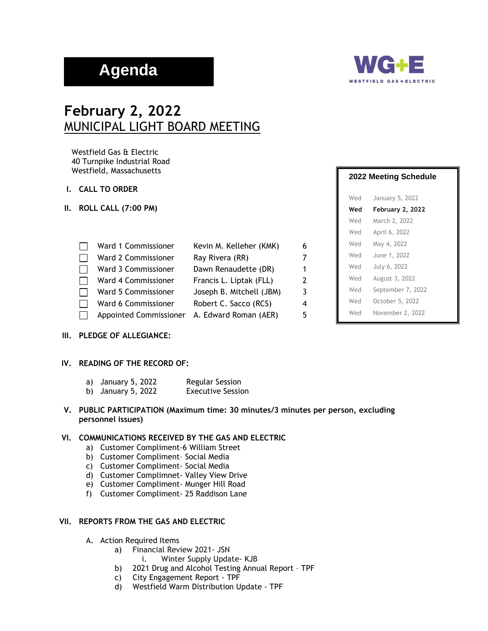# **Agenda**



## **February 2, 2022** MUNICIPAL LIGHT BOARD MEETING

Westfield Gas & Electric 40 Turnpike Industrial Road Westfield, Massachusetts

- **I. CALL TO ORDER**
- **II. ROLL CALL (7:00 PM)**

| Ward 1 Commissioner           | Kevin M. Kelleher (KMK)  | 6 |
|-------------------------------|--------------------------|---|
| Ward 2 Commissioner           | Ray Rivera (RR)          |   |
| Ward 3 Commissioner           | Dawn Renaudette (DR)     | 1 |
| Ward 4 Commissioner           | Francis L. Liptak (FLL)  | 2 |
| Ward 5 Commissioner           | Joseph B. Mitchell (JBM) | 3 |
| Ward 6 Commissioner           | Robert C. Sacco (RCS)    | 4 |
| <b>Appointed Commissioner</b> | A. Edward Roman (AER)    | 5 |

#### **III. PLEDGE OF ALLEGIANCE:**

#### **IV. READING OF THE RECORD OF:**

- a) January 5, 2022 Regular Session
- b) January 5, 2022 Executive Session
- **V. PUBLIC PARTICIPATION (Maximum time: 30 minutes/3 minutes per person, excluding personnel issues)**

#### **VI. COMMUNICATIONS RECEIVED BY THE GAS AND ELECTRIC**

- a) Customer Compliment-6 William Street
- b) Customer Compliment– Social Media
- c) Customer Compliment- Social Media
- d) Customer Complimnet- Valley View Drive
- e) Customer Compliment- Munger Hill Road
- f) Customer Compliment- 25 Raddison Lane

#### **VII. REPORTS FROM THE GAS AND ELECTRIC**

- A. Action Required Items
	- a) Financial Review 2021- JSN
		- i. Winter Supply Update- KJB
	- b) 2021 Drug and Alcohol Testing Annual Report TPF
	- c) City Engagement Report TPF
	- d) Westfield Warm Distribution Update TPF

#### **2022 Meeting Schedule**

| Wed | January 5, 2022   |
|-----|-------------------|
| Wed | February 2, 2022  |
| Wed | March 2, 2022     |
| Wed | April 6, 2022     |
| Wed | May 4, 2022       |
| Wed | June 1, 2022      |
| Wed | July 6, 2022      |
| Wed | August 3, 2022    |
| Wed | September 7, 2022 |
| Wed | October 5, 2022   |
| Wed | November 2, 2022  |